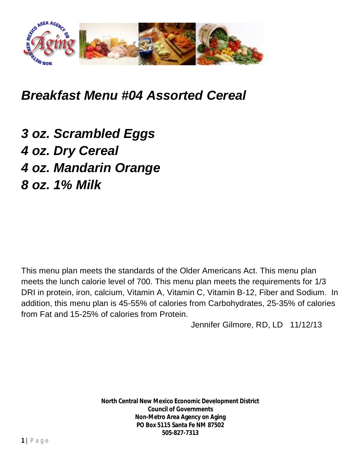

## *Breakfast Menu #04 Assorted Cereal*

*3 oz. Scrambled Eggs 4 oz. Dry Cereal 4 oz. Mandarin Orange 8 oz. 1% Milk*

This menu plan meets the standards of the Older Americans Act. This menu plan meets the lunch calorie level of 700. This menu plan meets the requirements for 1/3 DRI in protein, iron, calcium, Vitamin A, Vitamin C, Vitamin B-12, Fiber and Sodium. In addition, this menu plan is 45-55% of calories from Carbohydrates, 25-35% of calories from Fat and 15-25% of calories from Protein.

Jennifer Gilmore, RD, LD 11/12/13

**North Central New Mexico Economic Development District Council of Governments Non-Metro Area Agency on Aging PO Box 5115 Santa Fe NM 87502 505-827-7313**